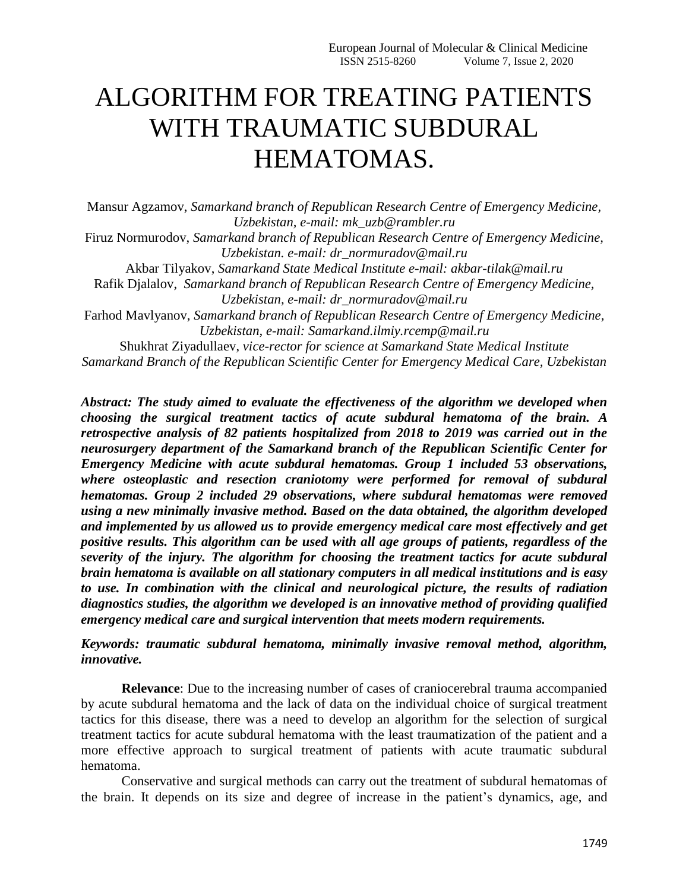## ALGORITHM FOR TREATING PATIENTS WITH TRAUMATIC SUBDURAL HEMATOMAS.

Mansur Agzamov, *Samarkand branch of Republican Research Centre of Emergency Medicine, Uzbekistan, e-mail: mk\_uzb@rambler.ru*

Firuz Normurodov, *Samarkand branch of Republican Research Centre of Emergency Medicine, Uzbekistan. e-mail: dr\_normuradov@mail.ru*

Akbar Tilyakov, *Samarkand State Medical Institute e-mail: akbar-tilak@mail.ru* Rafik Djalalov, *Samarkand branch of Republican Research Centre of Emergency Medicine,* 

*Uzbekistan, e-mail: dr\_normuradov@mail.ru*

Farhod Mavlyanov, *Samarkand branch of Republican Research Centre of Emergency Medicine, Uzbekistan, e-mail: Samarkand.ilmiy.rcemp@mail.ru*

Shukhrat Ziyadullaev, *vice-rector for science at [Samarkand State Medical Institute](https://www.sammi.uz/) Samarkand Branch of the Republican Scientific Center for Emergency Medical Care, Uzbekistan*

*Abstract: The study aimed to evaluate the effectiveness of the algorithm we developed when choosing the surgical treatment tactics of acute subdural hematoma of the brain. A retrospective analysis of 82 patients hospitalized from 2018 to 2019 was carried out in the neurosurgery department of the Samarkand branch of the Republican Scientific Center for Emergency Medicine with acute subdural hematomas. Group 1 included 53 observations, where osteoplastic and resection craniotomy were performed for removal of subdural hematomas. Group 2 included 29 observations, where subdural hematomas were removed using a new minimally invasive method. Based on the data obtained, the algorithm developed and implemented by us allowed us to provide emergency medical care most effectively and get positive results. This algorithm can be used with all age groups of patients, regardless of the severity of the injury. The algorithm for choosing the treatment tactics for acute subdural brain hematoma is available on all stationary computers in all medical institutions and is easy to use. In combination with the clinical and neurological picture, the results of radiation diagnostics studies, the algorithm we developed is an innovative method of providing qualified emergency medical care and surgical intervention that meets modern requirements.*

*Keywords: traumatic subdural hematoma, minimally invasive removal method, algorithm, innovative.*

**Relevance**: Due to the increasing number of cases of craniocerebral trauma accompanied by acute subdural hematoma and the lack of data on the individual choice of surgical treatment tactics for this disease, there was a need to develop an algorithm for the selection of surgical treatment tactics for acute subdural hematoma with the least traumatization of the patient and a more effective approach to surgical treatment of patients with acute traumatic subdural hematoma.

Conservative and surgical methods can carry out the treatment of subdural hematomas of the brain. It depends on its size and degree of increase in the patient's dynamics, age, and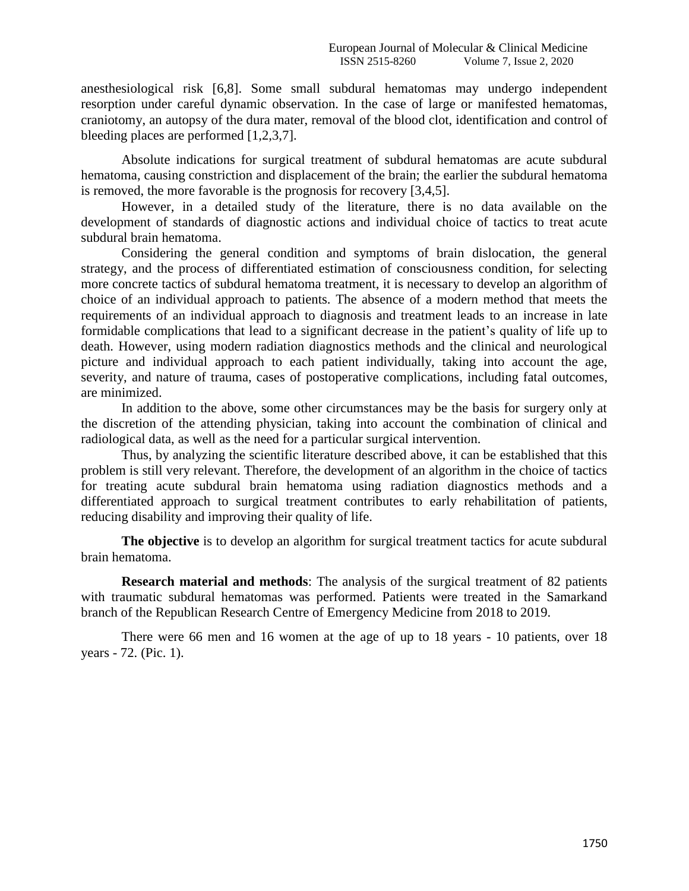anesthesiological risk [6,8]. Some small subdural hematomas may undergo independent resorption under careful dynamic observation. In the case of large or manifested hematomas, craniotomy, an autopsy of the dura mater, removal of the blood clot, identification and control of bleeding places are performed [1,2,3,7].

Absolute indications for surgical treatment of subdural hematomas are acute subdural hematoma, causing constriction and displacement of the brain; the earlier the subdural hematoma is removed, the more favorable is the prognosis for recovery [3,4,5].

However, in a detailed study of the literature, there is no data available on the development of standards of diagnostic actions and individual choice of tactics to treat acute subdural brain hematoma.

Considering the general condition and symptoms of brain dislocation, the general strategy, and the process of differentiated estimation of consciousness condition, for selecting more concrete tactics of subdural hematoma treatment, it is necessary to develop an algorithm of choice of an individual approach to patients. The absence of a modern method that meets the requirements of an individual approach to diagnosis and treatment leads to an increase in late formidable complications that lead to a significant decrease in the patient's quality of life up to death. However, using modern radiation diagnostics methods and the clinical and neurological picture and individual approach to each patient individually, taking into account the age, severity, and nature of trauma, cases of postoperative complications, including fatal outcomes, are minimized.

In addition to the above, some other circumstances may be the basis for surgery only at the discretion of the attending physician, taking into account the combination of clinical and radiological data, as well as the need for a particular surgical intervention.

Thus, by analyzing the scientific literature described above, it can be established that this problem is still very relevant. Therefore, the development of an algorithm in the choice of tactics for treating acute subdural brain hematoma using radiation diagnostics methods and a differentiated approach to surgical treatment contributes to early rehabilitation of patients, reducing disability and improving their quality of life.

The objective is to develop an algorithm for surgical treatment tactics for acute subdural brain hematoma.

**Research material and methods**: The analysis of the surgical treatment of 82 patients with traumatic subdural hematomas was performed. Patients were treated in the Samarkand branch of the Republican Research Centre of Emergency Medicine from 2018 to 2019.

There were 66 men and 16 women at the age of up to 18 years - 10 patients, over 18 years - 72. (Pic. 1).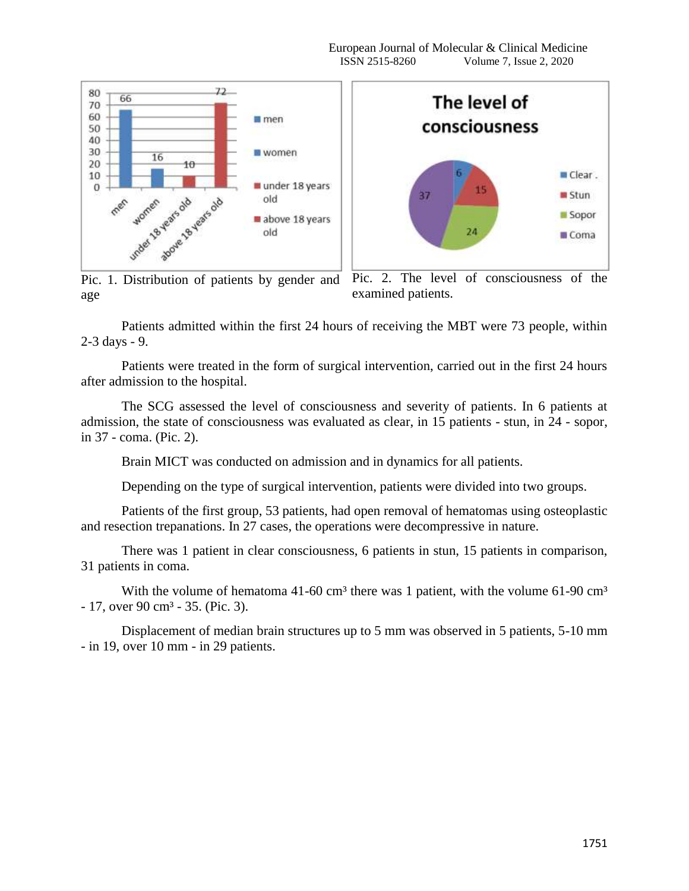

Pic. 1. Distribution of patients by gender and age

Pic. 2. The level of consciousness of the examined patients.

Patients admitted within the first 24 hours of receiving the MBT were 73 people, within 2-3 days - 9.

Patients were treated in the form of surgical intervention, carried out in the first 24 hours after admission to the hospital.

The SCG assessed the level of consciousness and severity of patients. In 6 patients at admission, the state of consciousness was evaluated as clear, in 15 patients - stun, in 24 - sopor, in 37 - coma. (Pic. 2).

Brain MICT was conducted on admission and in dynamics for all patients.

Depending on the type of surgical intervention, patients were divided into two groups.

Patients of the first group, 53 patients, had open removal of hematomas using osteoplastic and resection trepanations. In 27 cases, the operations were decompressive in nature.

There was 1 patient in clear consciousness, 6 patients in stun, 15 patients in comparison, 31 patients in coma.

With the volume of hematoma  $41-60$  cm<sup>3</sup> there was 1 patient, with the volume 61-90 cm<sup>3</sup>  $-17$ , over 90 cm<sup>3</sup>  $-35$ . (Pic. 3).

Displacement of median brain structures up to 5 mm was observed in 5 patients, 5-10 mm - in 19, over 10 mm - in 29 patients.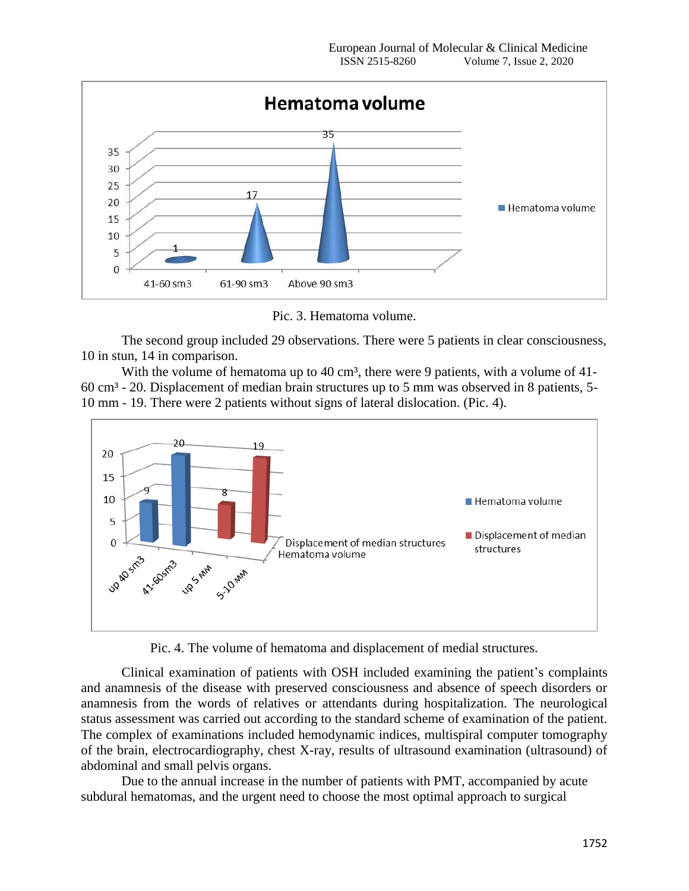

Pic. 3. Hematoma volume.

The second group included 29 observations. There were 5 patients in clear consciousness, 10 in stun, 14 in comparison.

With the volume of hematoma up to 40 cm<sup>3</sup>, there were 9 patients, with a volume of 41-60 cm³ - 20. Displacement of median brain structures up to 5 mm was observed in 8 patients, 5- 10 mm - 19. There were 2 patients without signs of lateral dislocation. (Pic. 4).



Pic. 4. The volume of hematoma and displacement of medial structures.

Clinical examination of patients with OSH included examining the patient's complaints and anamnesis of the disease with preserved consciousness and absence of speech disorders or anamnesis from the words of relatives or attendants during hospitalization. The neurological status assessment was carried out according to the standard scheme of examination of the patient. The complex of examinations included hemodynamic indices, multispiral computer tomography of the brain, electrocardiography, chest X-ray, results of ultrasound examination (ultrasound) of abdominal and small pelvis organs.

Due to the annual increase in the number of patients with PMT, accompanied by acute subdural hematomas, and the urgent need to choose the most optimal approach to surgical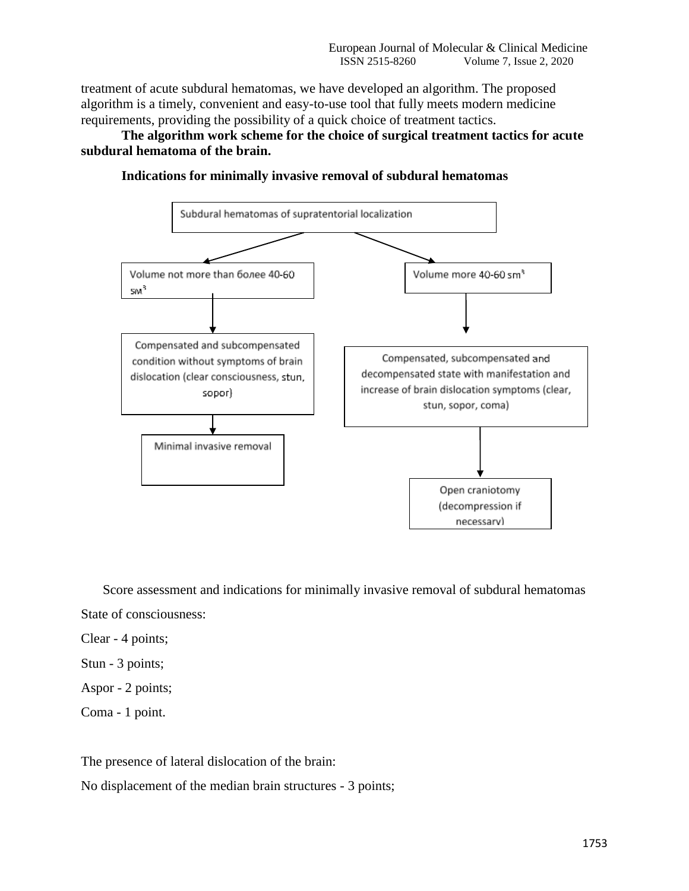treatment of acute subdural hematomas, we have developed an algorithm. The proposed algorithm is a timely, convenient and easy-to-use tool that fully meets modern medicine requirements, providing the possibility of a quick choice of treatment tactics.

**The algorithm work scheme for the choice of surgical treatment tactics for acute subdural hematoma of the brain.**





Score assessment and indications for minimally invasive removal of subdural hematomas State of consciousness:

Clear - 4 points;

Stun - 3 points;

Aspor - 2 points;

Coma - 1 point.

The presence of lateral dislocation of the brain:

No displacement of the median brain structures - 3 points;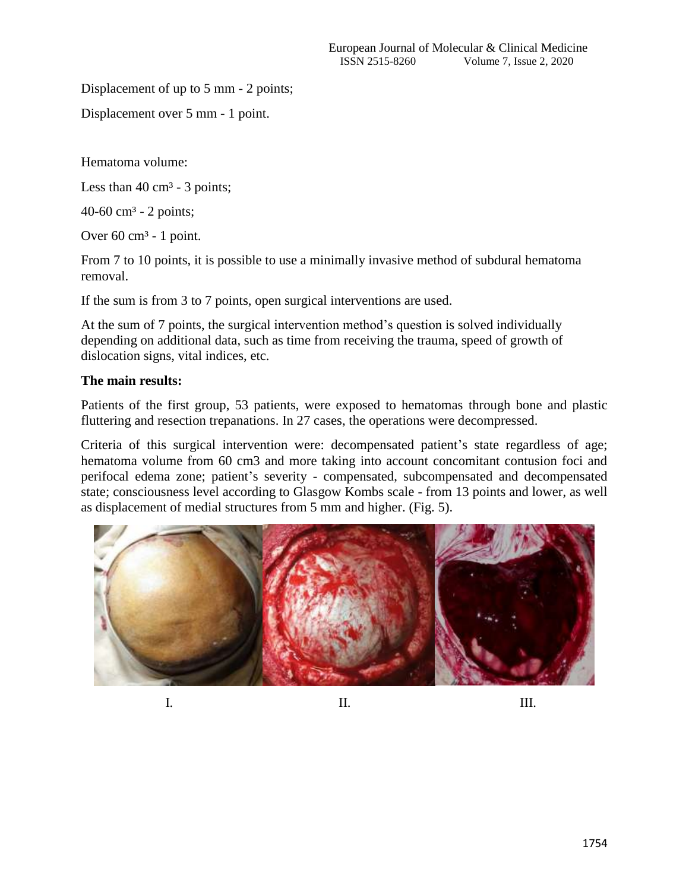Displacement of up to 5 mm - 2 points;

Displacement over 5 mm - 1 point.

Hematoma volume:

Less than  $40 \text{ cm}^3$  - 3 points;

40-60 cm<sup>3</sup> - 2 points;

Over  $60 \text{ cm}^3$  - 1 point.

From 7 to 10 points, it is possible to use a minimally invasive method of subdural hematoma removal.

If the sum is from 3 to 7 points, open surgical interventions are used.

At the sum of 7 points, the surgical intervention method's question is solved individually depending on additional data, such as time from receiving the trauma, speed of growth of dislocation signs, vital indices, etc.

## **The main results:**

Patients of the first group, 53 patients, were exposed to hematomas through bone and plastic fluttering and resection trepanations. In 27 cases, the operations were decompressed.

Criteria of this surgical intervention were: decompensated patient's state regardless of age; hematoma volume from 60 cm3 and more taking into account concomitant contusion foci and perifocal edema zone; patient's severity - compensated, subcompensated and decompensated state; consciousness level according to Glasgow Kombs scale - from 13 points and lower, as well as displacement of medial structures from 5 mm and higher. (Fig. 5).



I. II. III.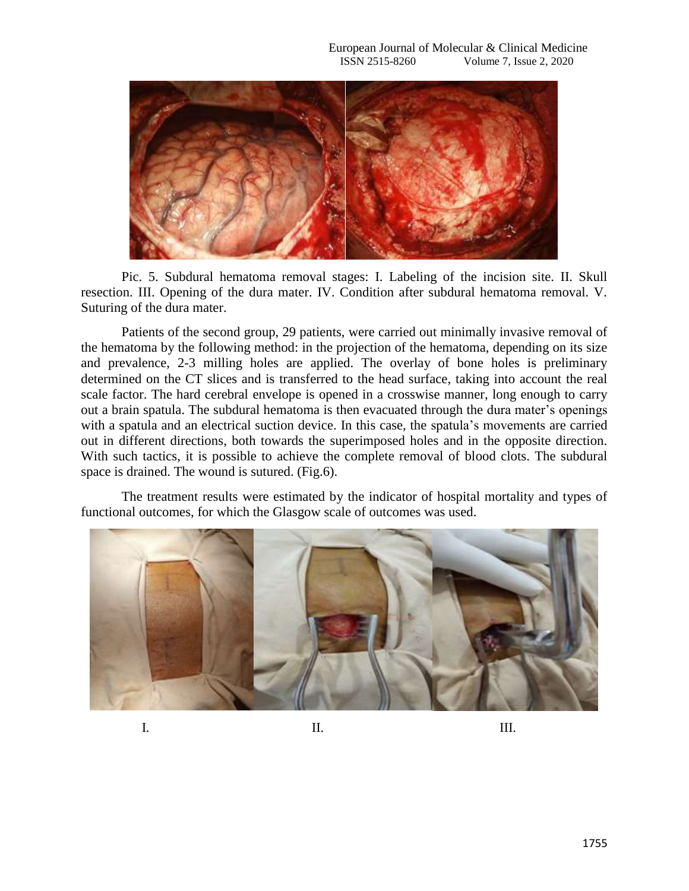

Pic. 5. Subdural hematoma removal stages: I. Labeling of the incision site. II. Skull resection. III. Opening of the dura mater. IV. Condition after subdural hematoma removal. V. Suturing of the dura mater.

Patients of the second group, 29 patients, were carried out minimally invasive removal of the hematoma by the following method: in the projection of the hematoma, depending on its size and prevalence, 2-3 milling holes are applied. The overlay of bone holes is preliminary determined on the CT slices and is transferred to the head surface, taking into account the real scale factor. The hard cerebral envelope is opened in a crosswise manner, long enough to carry out a brain spatula. The subdural hematoma is then evacuated through the dura mater's openings with a spatula and an electrical suction device. In this case, the spatula's movements are carried out in different directions, both towards the superimposed holes and in the opposite direction. With such tactics, it is possible to achieve the complete removal of blood clots. The subdural space is drained. The wound is sutured. (Fig.6).

The treatment results were estimated by the indicator of hospital mortality and types of functional outcomes, for which the Glasgow scale of outcomes was used.

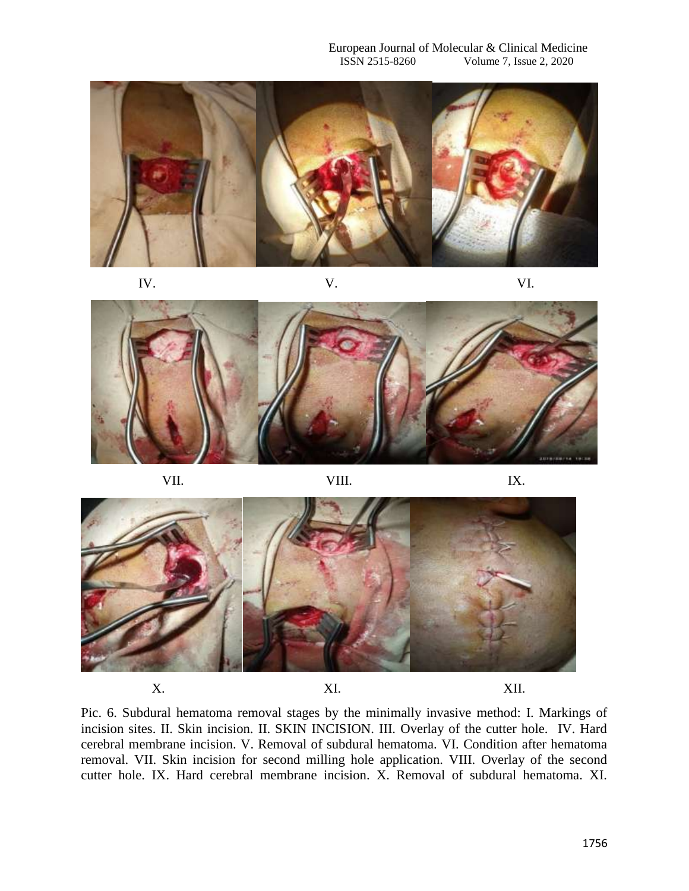

IV. V. V. VI.



VII. VIII. IX.



Pic. 6. Subdural hematoma removal stages by the minimally invasive method: I. Markings of incision sites. II. Skin incision. II. SKIN INCISION. III. Overlay of the cutter hole. IV. Hard cerebral membrane incision. V. Removal of subdural hematoma. VI. Condition after hematoma removal. VII. Skin incision for second milling hole application. VIII. Overlay of the second cutter hole. IX. Hard cerebral membrane incision. X. Removal of subdural hematoma. XI.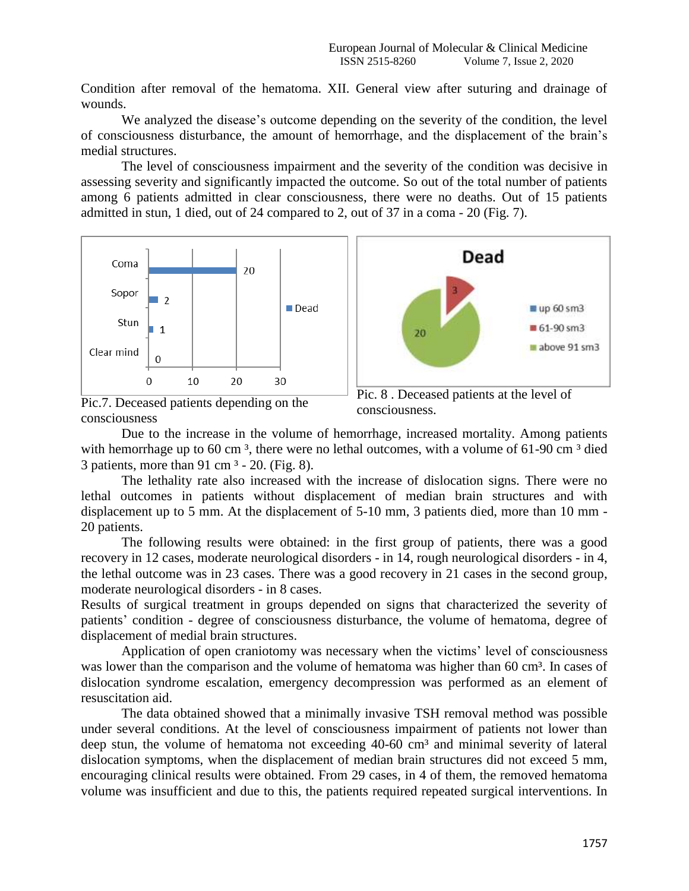Condition after removal of the hematoma. XII. General view after suturing and drainage of wounds.

We analyzed the disease's outcome depending on the severity of the condition, the level of consciousness disturbance, the amount of hemorrhage, and the displacement of the brain's medial structures.

The level of consciousness impairment and the severity of the condition was decisive in assessing severity and significantly impacted the outcome. So out of the total number of patients among 6 patients admitted in clear consciousness, there were no deaths. Out of 15 patients admitted in stun, 1 died, out of 24 compared to 2, out of 37 in a coma - 20 (Fig. 7).



Pic.7. Deceased patients depending on the consciousness



Due to the increase in the volume of hemorrhage, increased mortality. Among patients with hemorrhage up to 60 cm<sup>3</sup>, there were no lethal outcomes, with a volume of 61-90 cm<sup>3</sup> died 3 patients, more than 91 cm  $3 - 20$ . (Fig. 8).

The lethality rate also increased with the increase of dislocation signs. There were no lethal outcomes in patients without displacement of median brain structures and with displacement up to 5 mm. At the displacement of 5-10 mm, 3 patients died, more than 10 mm - 20 patients.

The following results were obtained: in the first group of patients, there was a good recovery in 12 cases, moderate neurological disorders - in 14, rough neurological disorders - in 4, the lethal outcome was in 23 cases. There was a good recovery in 21 cases in the second group, moderate neurological disorders - in 8 cases.

Results of surgical treatment in groups depended on signs that characterized the severity of patients' condition - degree of consciousness disturbance, the volume of hematoma, degree of displacement of medial brain structures.

Application of open craniotomy was necessary when the victims' level of consciousness was lower than the comparison and the volume of hematoma was higher than 60 cm<sup>3</sup>. In cases of dislocation syndrome escalation, emergency decompression was performed as an element of resuscitation aid.

The data obtained showed that a minimally invasive TSH removal method was possible under several conditions. At the level of consciousness impairment of patients not lower than deep stun, the volume of hematoma not exceeding 40-60 cm<sup>3</sup> and minimal severity of lateral dislocation symptoms, when the displacement of median brain structures did not exceed 5 mm, encouraging clinical results were obtained. From 29 cases, in 4 of them, the removed hematoma volume was insufficient and due to this, the patients required repeated surgical interventions. In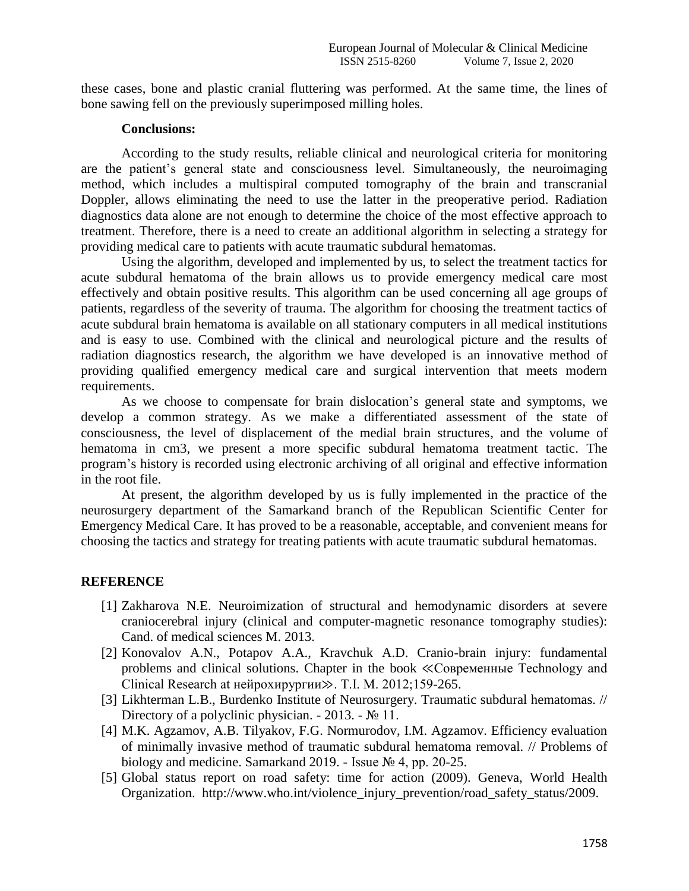these cases, bone and plastic cranial fluttering was performed. At the same time, the lines of bone sawing fell on the previously superimposed milling holes.

## **Conclusions:**

According to the study results, reliable clinical and neurological criteria for monitoring are the patient's general state and consciousness level. Simultaneously, the neuroimaging method, which includes a multispiral computed tomography of the brain and transcranial Doppler, allows eliminating the need to use the latter in the preoperative period. Radiation diagnostics data alone are not enough to determine the choice of the most effective approach to treatment. Therefore, there is a need to create an additional algorithm in selecting a strategy for providing medical care to patients with acute traumatic subdural hematomas.

Using the algorithm, developed and implemented by us, to select the treatment tactics for acute subdural hematoma of the brain allows us to provide emergency medical care most effectively and obtain positive results. This algorithm can be used concerning all age groups of patients, regardless of the severity of trauma. The algorithm for choosing the treatment tactics of acute subdural brain hematoma is available on all stationary computers in all medical institutions and is easy to use. Combined with the clinical and neurological picture and the results of radiation diagnostics research, the algorithm we have developed is an innovative method of providing qualified emergency medical care and surgical intervention that meets modern requirements.

As we choose to compensate for brain dislocation's general state and symptoms, we develop a common strategy. As we make a differentiated assessment of the state of consciousness, the level of displacement of the medial brain structures, and the volume of hematoma in cm3, we present a more specific subdural hematoma treatment tactic. The program's history is recorded using electronic archiving of all original and effective information in the root file.

At present, the algorithm developed by us is fully implemented in the practice of the neurosurgery department of the Samarkand branch of the Republican Scientific Center for Emergency Medical Care. It has proved to be a reasonable, acceptable, and convenient means for choosing the tactics and strategy for treating patients with acute traumatic subdural hematomas.

## **REFERENCE**

- [1] Zakharova N.E. Neuroimization of structural and hemodynamic disorders at severe craniocerebral injury (clinical and computer-magnetic resonance tomography studies): Cand. of medical sciences M. 2013.
- [2] Konovalov A.N., Potapov A.A., Kravchuk A.D. Cranio-brain injury: fundamental problems and clinical solutions. Chapter in the book ≪Современные Technology and Clinical Research at нейрохирургии≫. T.I. М. 2012;159-265.
- [3] Likhterman L.B., Burdenko Institute of Neurosurgery. Traumatic subdural hematomas. // Directory of a polyclinic physician.  $-2013. - N_2 11$ .
- [4] M.K. Agzamov, A.B. Tilyakov, F.G. Normurodov, I.M. Agzamov. Efficiency evaluation of minimally invasive method of traumatic subdural hematoma removal. // Problems of biology and medicine. Samarkand 2019. - Issue № 4, pp. 20-25.
- [5] Global status report on road safety: time for action (2009). Geneva, World Health Organization. http://www.who.int/violence\_injury\_prevention/road\_safety\_status/2009.